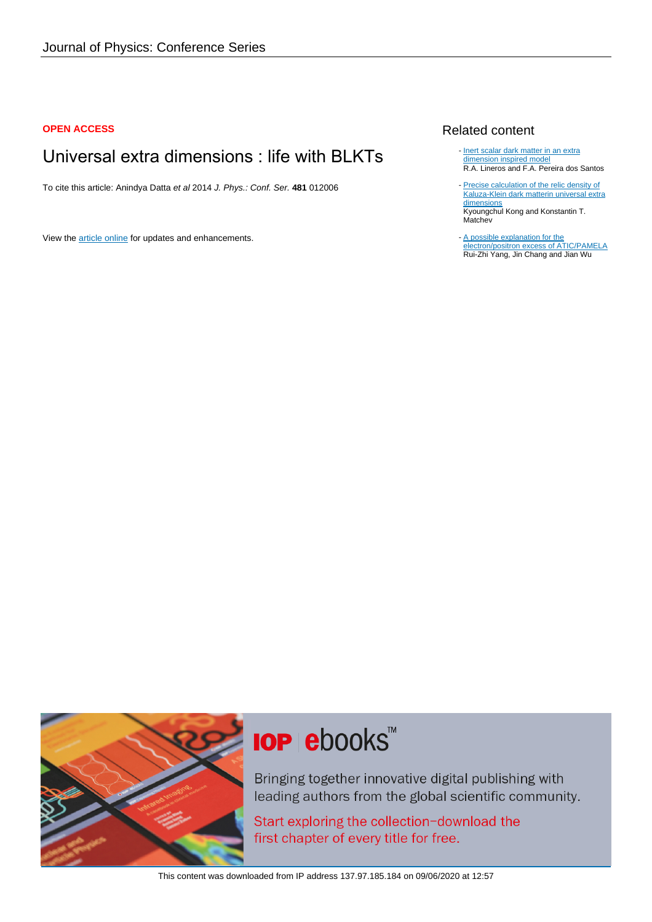## **OPEN ACCESS**

# Universal extra dimensions : life with BLKTs

To cite this article: Anindya Datta et al 2014 J. Phys.: Conf. Ser. **481** 012006

View the [article online](https://doi.org/10.1088/1742-6596/481/1/012006) for updates and enhancements.

# Related content

Matchev

- [Inert scalar dark matter in an extra](http://iopscience.iop.org/article/10.1088/1475-7516/2014/10/059) [dimension inspired model](http://iopscience.iop.org/article/10.1088/1475-7516/2014/10/059) R.A. Lineros and F.A. Pereira dos Santos
- [Precise calculation of the relic density of](http://iopscience.iop.org/article/10.1088/1126-6708/2006/01/038) [Kaluza-Klein dark matterin universal extra](http://iopscience.iop.org/article/10.1088/1126-6708/2006/01/038) [dimensions](http://iopscience.iop.org/article/10.1088/1126-6708/2006/01/038) Kyoungchul Kong and Konstantin T.
- [A possible explanation for the](http://iopscience.iop.org/article/10.1088/1674-4527/10/1/004) [electron/positron excess of ATIC/PAMELA](http://iopscience.iop.org/article/10.1088/1674-4527/10/1/004) Rui-Zhi Yang, Jin Chang and Jian Wu



# **IOP ebooks™**

Bringing together innovative digital publishing with leading authors from the global scientific community.

Start exploring the collection-download the first chapter of every title for free.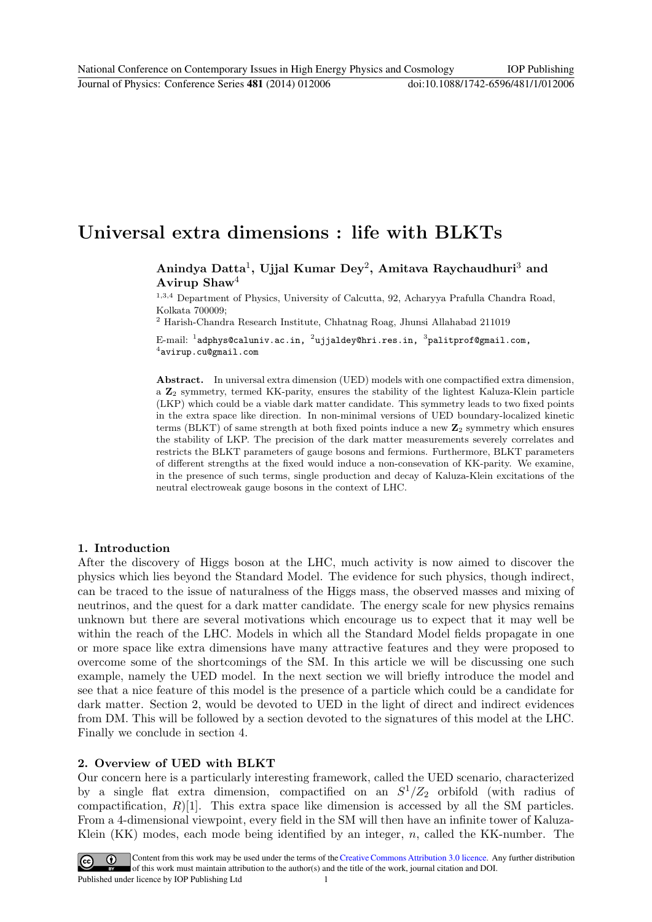# Universal extra dimensions : life with BLKTs

Anindya Datta<sup>1</sup>, Ujjal Kumar Dey<sup>2</sup>, Amitava Raychaudhuri<sup>3</sup> and Avirup Shaw<sup>4</sup>

<sup>1</sup>,3,<sup>4</sup> Department of Physics, University of Calcutta, 92, Acharyya Prafulla Chandra Road, Kolkata 700009;

<sup>2</sup> Harish-Chandra Research Institute, Chhatnag Roag, Jhunsi Allahabad 211019

E-mail:  $^1$ adphys@caluniv.ac.in,  $^2$ ujjaldey@hri.res.in,  $^3$ palitprof@gmail.com, 4 avirup.cu@gmail.com

Abstract. In universal extra dimension (UED) models with one compactified extra dimension, a Z<sup>2</sup> symmetry, termed KK-parity, ensures the stability of the lightest Kaluza-Klein particle (LKP) which could be a viable dark matter candidate. This symmetry leads to two fixed points in the extra space like direction. In non-minimal versions of UED boundary-localized kinetic terms (BLKT) of same strength at both fixed points induce a new  $\mathbb{Z}_2$  symmetry which ensures the stability of LKP. The precision of the dark matter measurements severely correlates and restricts the BLKT parameters of gauge bosons and fermions. Furthermore, BLKT parameters of different strengths at the fixed would induce a non-consevation of KK-parity. We examine, in the presence of such terms, single production and decay of Kaluza-Klein excitations of the neutral electroweak gauge bosons in the context of LHC.

## 1. Introduction

After the discovery of Higgs boson at the LHC, much activity is now aimed to discover the physics which lies beyond the Standard Model. The evidence for such physics, though indirect, can be traced to the issue of naturalness of the Higgs mass, the observed masses and mixing of neutrinos, and the quest for a dark matter candidate. The energy scale for new physics remains unknown but there are several motivations which encourage us to expect that it may well be within the reach of the LHC. Models in which all the Standard Model fields propagate in one or more space like extra dimensions have many attractive features and they were proposed to overcome some of the shortcomings of the SM. In this article we will be discussing one such example, namely the UED model. In the next section we will briefly introduce the model and see that a nice feature of this model is the presence of a particle which could be a candidate for dark matter. Section 2, would be devoted to UED in the light of direct and indirect evidences from DM. This will be followed by a section devoted to the signatures of this model at the LHC. Finally we conclude in section 4.

# 2. Overview of UED with BLKT

Our concern here is a particularly interesting framework, called the UED scenario, characterized by a single flat extra dimension, compactified on an  $S^1/Z_2$  orbifold (with radius of compactification,  $R$ [1]. This extra space like dimension is accessed by all the SM particles. From a 4-dimensional viewpoint, every field in the SM will then have an infinite tower of Kaluza-Klein  $(KK)$  modes, each mode being identified by an integer,  $n$ , called the KK-number. The

Content from this work may be used under the terms of the Creative Commons Attribution 3.0 licence. Any further distribution  $\odot$  $\vert$  (cc) of this work must maintain attribution to the author(s) and the title of the work, journal citation and DOI. Published under licence by IOP Publishing Ltd 1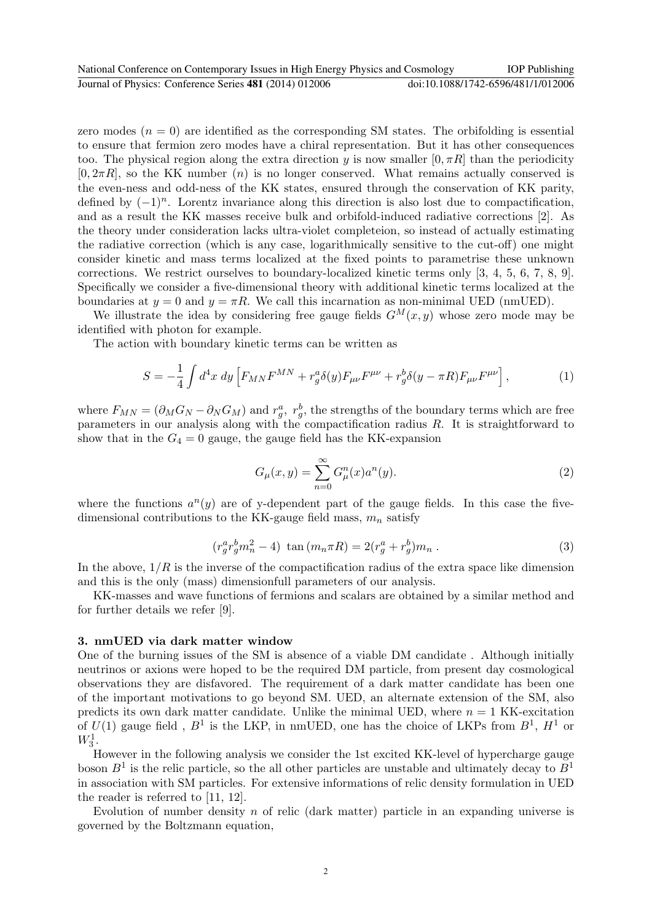zero modes  $(n = 0)$  are identified as the corresponding SM states. The orbifolding is essential to ensure that fermion zero modes have a chiral representation. But it has other consequences too. The physical region along the extra direction y is now smaller  $[0, \pi R]$  than the periodicity  $[0, 2\pi R]$ , so the KK number  $(n)$  is no longer conserved. What remains actually conserved is the even-ness and odd-ness of the KK states, ensured through the conservation of KK parity, defined by  $(-1)^n$ . Lorentz invariance along this direction is also lost due to compactification, and as a result the KK masses receive bulk and orbifold-induced radiative corrections [2]. As the theory under consideration lacks ultra-violet completeion, so instead of actually estimating the radiative correction (which is any case, logarithmically sensitive to the cut-off) one might consider kinetic and mass terms localized at the fixed points to parametrise these unknown corrections. We restrict ourselves to boundary-localized kinetic terms only [3, 4, 5, 6, 7, 8, 9]. Specifically we consider a five-dimensional theory with additional kinetic terms localized at the boundaries at  $y = 0$  and  $y = \pi R$ . We call this incarnation as non-minimal UED (nmUED).

We illustrate the idea by considering free gauge fields  $G^M(x, y)$  whose zero mode may be identified with photon for example.

The action with boundary kinetic terms can be written as

$$
S = -\frac{1}{4} \int d^4x \, dy \left[ F_{MN} F^{MN} + r_g^a \delta(y) F_{\mu\nu} F^{\mu\nu} + r_g^b \delta(y - \pi R) F_{\mu\nu} F^{\mu\nu} \right],\tag{1}
$$

where  $F_{MN} = (\partial_M G_N - \partial_N G_M)$  and  $r_g^a$ ,  $r_g^b$ , the strengths of the boundary terms which are free parameters in our analysis along with the compactification radius R. It is straightforward to show that in the  $G_4 = 0$  gauge, the gauge field has the KK-expansion

$$
G_{\mu}(x,y) = \sum_{n=0}^{\infty} G_{\mu}^{n}(x)a^{n}(y).
$$
 (2)

where the functions  $a^n(y)$  are of y-dependent part of the gauge fields. In this case the fivedimensional contributions to the KK-gauge field mass,  $m_n$  satisfy

$$
(r_g^a r_g^b m_n^2 - 4) \tan(m_n \pi R) = 2(r_g^a + r_g^b) m_n \,. \tag{3}
$$

In the above,  $1/R$  is the inverse of the compactification radius of the extra space like dimension and this is the only (mass) dimensionfull parameters of our analysis.

KK-masses and wave functions of fermions and scalars are obtained by a similar method and for further details we refer [9].

#### 3. nmUED via dark matter window

One of the burning issues of the SM is absence of a viable DM candidate . Although initially neutrinos or axions were hoped to be the required DM particle, from present day cosmological observations they are disfavored. The requirement of a dark matter candidate has been one of the important motivations to go beyond SM. UED, an alternate extension of the SM, also predicts its own dark matter candidate. Unlike the minimal UED, where  $n = 1$  KK-excitation of  $U(1)$  gauge field,  $B^1$  is the LKP, in nmUED, one has the choice of LKPs from  $B^1$ ,  $H^1$  or  $W_3^1$ .

However in the following analysis we consider the 1st excited KK-level of hypercharge gauge boson  $B^1$  is the relic particle, so the all other particles are unstable and ultimately decay to  $B^1$ in association with SM particles. For extensive informations of relic density formulation in UED the reader is referred to [11, 12].

Evolution of number density  $n$  of relic (dark matter) particle in an expanding universe is governed by the Boltzmann equation,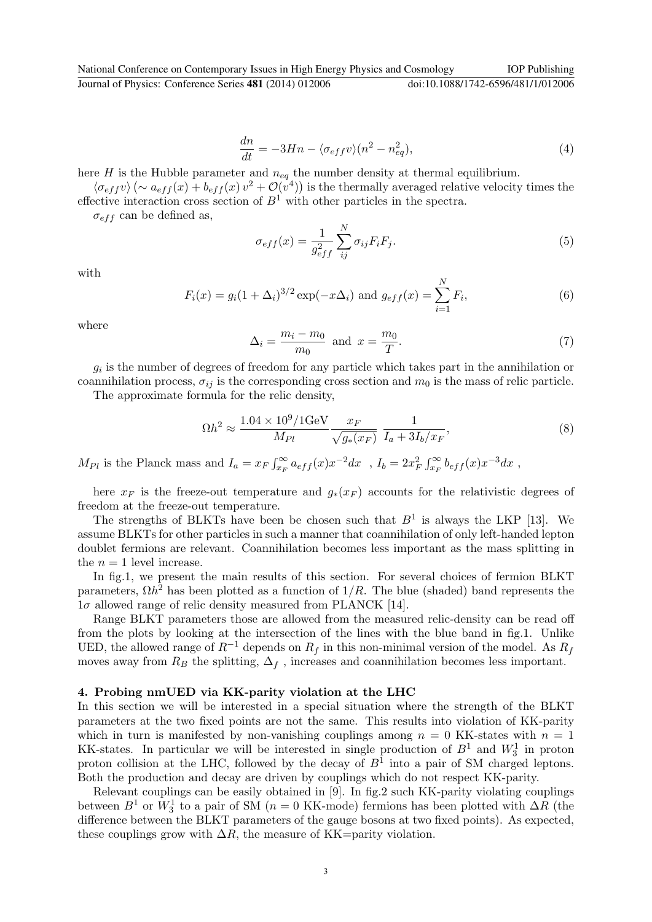National Conference on Contemporary Issues in High Energy Physics and Cosmology IOP Publishing Journal of Physics: Conference Series **481** (2014) 012006 doi:10.1088/1742-6596/481/1/012006

$$
\frac{dn}{dt} = -3Hn - \langle \sigma_{eff} v \rangle (n^2 - n_{eq}^2),\tag{4}
$$

here H is the Hubble parameter and  $n_{eq}$  the number density at thermal equilibrium.

 $\langle \sigma_{eff} v \rangle$  ( $\sim a_{eff}(x) + b_{eff}(x) v^2 + \mathcal{O}(v^4)$ ) is the thermally averaged relative velocity times the effective interaction cross section of  $B<sup>1</sup>$  with other particles in the spectra.

 $\sigma_{eff}$  can be defined as,

$$
\sigma_{eff}(x) = \frac{1}{g_{eff}^2} \sum_{ij}^{N} \sigma_{ij} F_i F_j.
$$
\n(5)

with

$$
F_i(x) = g_i(1 + \Delta_i)^{3/2} \exp(-x\Delta_i) \text{ and } g_{eff}(x) = \sum_{i=1}^{N} F_i,
$$
 (6)

where

$$
\Delta_i = \frac{m_i - m_0}{m_0} \text{ and } x = \frac{m_0}{T}.\tag{7}
$$

 $g_i$  is the number of degrees of freedom for any particle which takes part in the annihilation or coannihilation process,  $\sigma_{ij}$  is the corresponding cross section and  $m_0$  is the mass of relic particle.

The approximate formula for the relic density,

$$
\Omega h^2 \approx \frac{1.04 \times 10^9 / 1 \text{GeV}}{M_{Pl}} \frac{x_F}{\sqrt{g_*(x_F)}} \frac{1}{I_a + 3I_b / x_F},\tag{8}
$$

 $M_{Pl}$  is the Planck mass and  $I_a = x_F \int_{x_F}^{\infty} a_{eff}(x) x^{-2} dx$ ,  $I_b = 2x_F^2 \int_{x_F}^{\infty} b_{eff}(x) x^{-3} dx$ ,

here  $x_F$  is the freeze-out temperature and  $g_*(x_F)$  accounts for the relativistic degrees of freedom at the freeze-out temperature.

The strengths of BLKTs have been be chosen such that  $B<sup>1</sup>$  is always the LKP [13]. We assume BLKTs for other particles in such a manner that coannihilation of only left-handed lepton doublet fermions are relevant. Coannihilation becomes less important as the mass splitting in the  $n = 1$  level increase.

In fig.1, we present the main results of this section. For several choices of fermion BLKT parameters,  $\Omega h^2$  has been plotted as a function of  $1/R$ . The blue (shaded) band represents the  $1\sigma$  allowed range of relic density measured from PLANCK [14].

Range BLKT parameters those are allowed from the measured relic-density can be read off from the plots by looking at the intersection of the lines with the blue band in fig.1. Unlike UED, the allowed range of  $R^{-1}$  depends on  $R_f$  in this non-minimal version of the model. As  $R_f$ moves away from  $R_B$  the splitting,  $\Delta_f$  , increases and coannihilation becomes less important.

### 4. Probing nmUED via KK-parity violation at the LHC

In this section we will be interested in a special situation where the strength of the BLKT parameters at the two fixed points are not the same. This results into violation of KK-parity which in turn is manifested by non-vanishing couplings among  $n = 0$  KK-states with  $n = 1$ KK-states. In particular we will be interested in single production of  $B^1$  and  $W_3^1$  in proton proton collision at the LHC, followed by the decay of  $B<sup>1</sup>$  into a pair of SM charged leptons. Both the production and decay are driven by couplings which do not respect KK-parity.

Relevant couplings can be easily obtained in [9]. In fig.2 such KK-parity violating couplings between  $B^1$  or  $W_3^1$  to a pair of SM (n = 0 KK-mode) fermions has been plotted with  $\Delta R$  (the difference between the BLKT parameters of the gauge bosons at two fixed points). As expected, these couplings grow with  $\Delta R$ , the measure of KK=parity violation.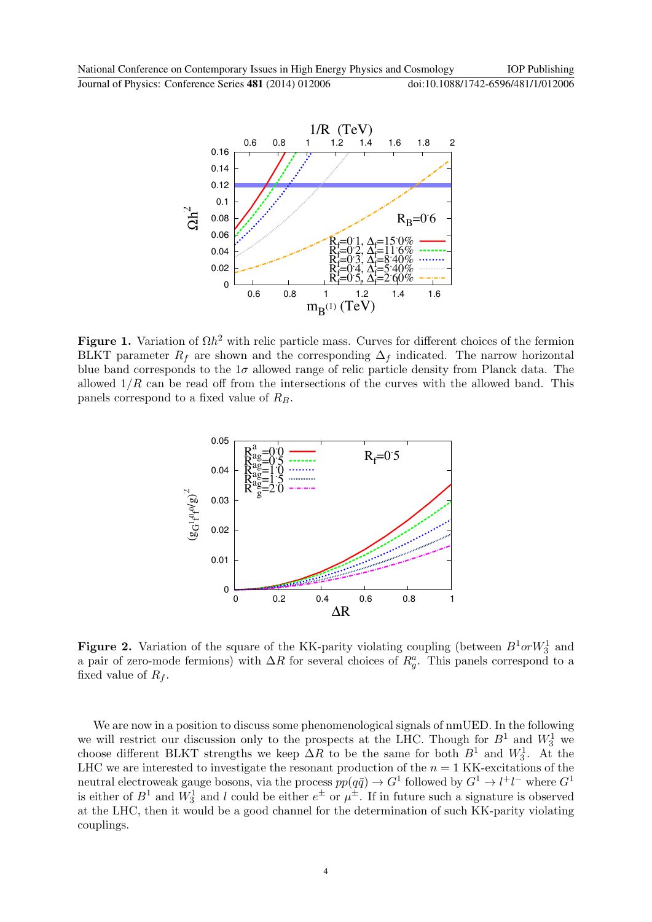

Figure 1. Variation of  $\Omega h^2$  with relic particle mass. Curves for different choices of the fermion BLKT parameter  $R_f$  are shown and the corresponding  $\Delta_f$  indicated. The narrow horizontal blue band corresponds to the  $1\sigma$  allowed range of relic particle density from Planck data. The allowed  $1/R$  can be read off from the intersections of the curves with the allowed band. This panels correspond to a fixed value of  $R_B$ .



**Figure 2.** Variation of the square of the KK-parity violating coupling (between  $B^1$ or $W_3^1$  and a pair of zero-mode fermions) with  $\Delta R$  for several choices of  $R_g^a$ . This panels correspond to a fixed value of  $R_f$ .

We are now in a position to discuss some phenomenological signals of  $nmUED$ . In the following we will restrict our discussion only to the prospects at the LHC. Though for  $B^1$  and  $W_3^1$  we choose different BLKT strengths we keep  $\Delta R$  to be the same for both  $B^1$  and  $W_3^1$ . At the LHC we are interested to investigate the resonant production of the  $n = 1$  KK-excitations of the neutral electroweak gauge bosons, via the process  $pp(q\bar{q}) \to G^1$  followed by  $G^1 \to l^+l^-$  where  $G^1$ is either of  $B^1$  and  $W_3^1$  and l could be either  $e^{\pm}$  or  $\mu^{\pm}$ . If in future such a signature is observed at the LHC, then it would be a good channel for the determination of such KK-parity violating couplings.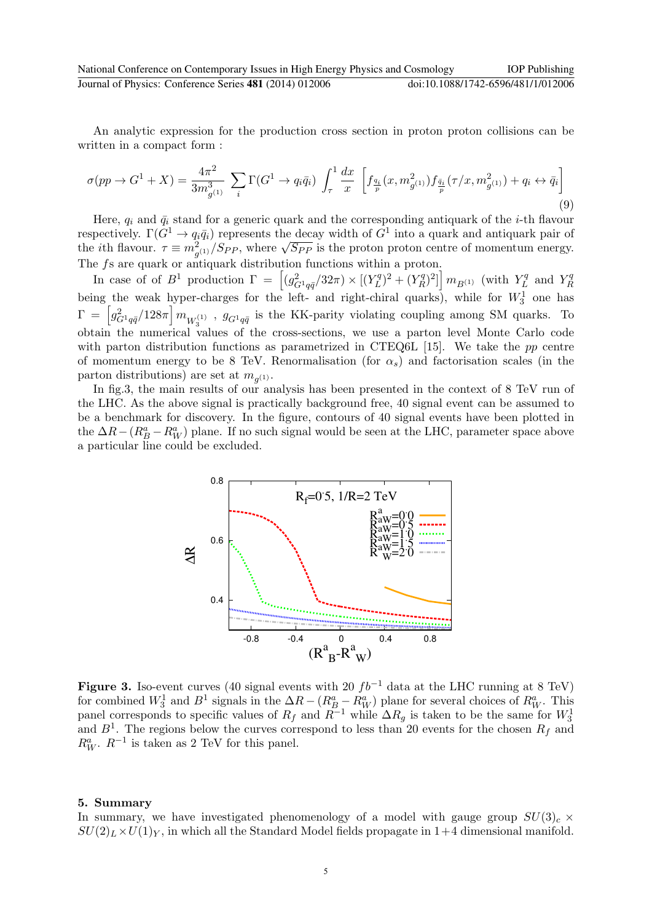National Conference on Contemporary Issues in High Energy Physics and Cosmology IOP Publishing Journal of Physics: Conference Series **481** (2014) 012006 doi:10.1088/1742-6596/481/1/012006

An analytic expression for the production cross section in proton proton collisions can be written in a compact form :

$$
\sigma(pp \to G^1 + X) = \frac{4\pi^2}{3m_{g^{(1)}}^3} \sum_{i} \Gamma(G^1 \to q_i \bar{q}_i) \int_{\tau}^1 \frac{dx}{x} \left[ f_{\frac{q_i}{p}}(x, m_{g^{(1)}}^2) f_{\frac{\bar{q}_i}{p}}(\tau/x, m_{g^{(1)}}^2) + q_i \leftrightarrow \bar{q}_i \right]
$$
\n(9)

Here,  $q_i$  and  $\bar{q}_i$  stand for a generic quark and the corresponding antiquark of the *i*-th flavour respectively.  $\Gamma(G^1 \to q_i \bar{q}_i)$  represents the decay width of  $G^1$  into a quark and antiquark pair of respectively.  $\Gamma(G^* \to q_i q_i)$  represents the decay width of G<sup>-</sup> linto a quark and antiquark pair of the *i*th flavour.  $\tau \equiv m_{g^{(1)}}^2 / Sp_P$ , where  $\sqrt{Sp_P}$  is the proton proton centre of momentum energy. The fs are quark or antiquark distribution functions within a proton.

In case of of  $B^1$  production  $\Gamma = \left[ (g_{G^1q\bar{q}}^2/32\pi) \times \left[ (Y_L^q\right] \right]$  $(L^{q})^{2} + (Y^{q}_{R})^{2}$  $\binom{r q}{R}$ <sup>2</sup>]  $\left\lfloor m_{B^{(1)}} \right\rfloor$  (with  $Y_L^q$  $L^q$  and  $Y^q_R$ R being the weak hyper-charges for the left- and right-chiral quarks), while for  $W_3^1$  one has  $\Gamma = \left[ g_{G^1q\bar{q}}^2/128\pi \right] m_{W_3^{(1)}}$  ,  $g_{G^1q\bar{q}}$  is the KK-parity violating coupling among SM quarks. To obtain the numerical values of the cross-sections, we use a parton level Monte Carlo code with parton distribution functions as parametrized in CTEQ6L [15]. We take the pp centre of momentum energy to be 8 TeV. Renormalisation (for  $\alpha_s$ ) and factorisation scales (in the parton distributions) are set at  $m_{g^{(1)}}$ .

In fig.3, the main results of our analysis has been presented in the context of 8 TeV run of the LHC. As the above signal is practically background free, 40 signal event can be assumed to be a benchmark for discovery. In the figure, contours of 40 signal events have been plotted in the  $\Delta R - (R_B^a - R_W^a)$  plane. If no such signal would be seen at the LHC, parameter space above a particular line could be excluded.



Figure 3. Iso-event curves (40 signal events with 20  $fb^{-1}$  data at the LHC running at 8 TeV) for combined  $W_3^1$  and  $B^1$  signals in the  $\Delta R - (R_B^a - R_W^a)$  plane for several choices of  $R_W^a$ . This panel corresponds to specific values of  $R_f$  and  $R^{-1}$  while  $\Delta R_g$  is taken to be the same for  $W_3^1$ and  $B^1$ . The regions below the curves correspond to less than 20 events for the chosen  $R_f$  and  $R_W^a$ .  $R^{-1}$  is taken as 2 TeV for this panel.

#### 5. Summary

In summary, we have investigated phenomenology of a model with gauge group  $SU(3)_c \times$  $SU(2)_L \times U(1)_Y$ , in which all the Standard Model fields propagate in 1+4 dimensional manifold.